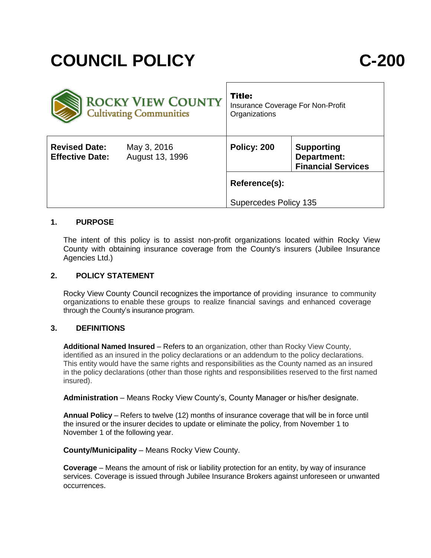# **COUNCIL POLICY C-200**

| <b>ROCKY VIEW COUNTY</b><br><b>Cultivating Communities</b> |                                | <b>Title:</b><br>Insurance Coverage For Non-Profit<br>Organizations |                                                               |
|------------------------------------------------------------|--------------------------------|---------------------------------------------------------------------|---------------------------------------------------------------|
| <b>Revised Date:</b><br><b>Effective Date:</b>             | May 3, 2016<br>August 13, 1996 | Policy: 200                                                         | <b>Supporting</b><br>Department:<br><b>Financial Services</b> |
|                                                            |                                | Reference(s):                                                       |                                                               |
|                                                            |                                | <b>Supercedes Policy 135</b>                                        |                                                               |

# **1. PURPOSE**

The intent of this policy is to assist non-profit organizations located within Rocky View County with obtaining insurance coverage from the County's insurers (Jubilee Insurance Agencies Ltd.)

## **2. POLICY STATEMENT**

Rocky View County Council recognizes the importance of providing insurance to community organizations to enable these groups to realize financial savings and enhanced coverage through the County's insurance program.

#### **3. DEFINITIONS**

**Additional Named Insured** – Refers to an organization, other than Rocky View County, identified as an insured in the policy declarations or an addendum to the policy declarations. This entity would have the same rights and responsibilities as the County named as an insured in the policy declarations (other than those rights and responsibilities reserved to the first named insured).

**Administration** – Means Rocky View County's, County Manager or his/her designate.

**Annual Policy** – Refers to twelve (12) months of insurance coverage that will be in force until the insured or the insurer decides to update or eliminate the policy, from November 1 to November 1 of the following year.

**County/Municipality** – Means Rocky View County.

**Coverage** – Means the amount of risk or liability protection for an entity, by way of insurance services. Coverage is issued through Jubilee Insurance Brokers against unforeseen or unwanted occurrences.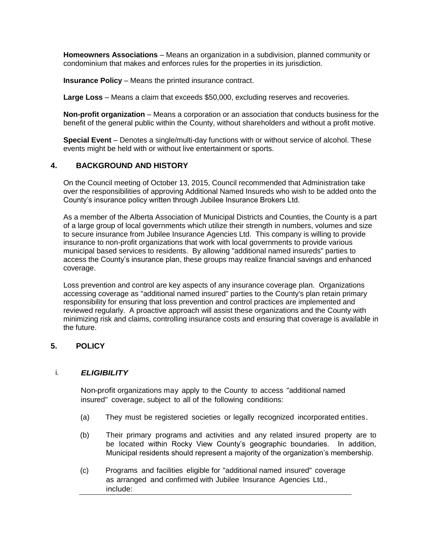**Homeowners Associations** – Means an organization in a subdivision, planned community or condominium that makes and enforces rules for the properties in its jurisdiction.

**Insurance Policy** – Means the printed insurance contract.

**Large Loss** – Means a claim that exceeds \$50,000, excluding reserves and recoveries.

**Non-profit organization** – Means a corporation or an association that conducts business for the benefit of the general public within the County, without shareholders and without a profit motive.

**Special Event** – Denotes a single/multi-day functions with or without service of alcohol. These events might be held with or without live entertainment or sports.

## **4. BACKGROUND AND HISTORY**

On the Council meeting of October 13, 2015, Council recommended that Administration take over the responsibilities of approving Additional Named Insureds who wish to be added onto the County's insurance policy written through Jubilee Insurance Brokers Ltd.

As a member of the Alberta Association of Municipal Districts and Counties, the County is a part of a large group of local governments which utilize their strength in numbers, volumes and size to secure insurance from Jubilee Insurance Agencies Ltd. This company is willing to provide insurance to non-profit organizations that work with local governments to provide various municipal based services to residents. By allowing "additional named insureds" parties to access the County's insurance plan, these groups may realize financial savings and enhanced coverage.

Loss prevention and control are key aspects of any insurance coverage plan. Organizations accessing coverage as "additional named insured" parties to the County's plan retain primary responsibility for ensuring that loss prevention and control practices are implemented and reviewed regularly. A proactive approach will assist these organizations and the County with minimizing risk and claims, controlling insurance costs and ensuring that coverage is available in the future.

#### **5. POLICY**

#### i*. ELIGIBILITY*

Non-profit organizations may apply to the County to access "additional named insured" coverage, subject to all of the following conditions:

- (a) They must be registered societies or legally recognized incorporated entities.
- (b) Their primary programs and activities and any related insured property are to be located within Rocky View County's geographic boundaries. In addition, Municipal residents should represent a majority of the organization's membership.
- (c) Programs and facilities eligible for "additional named insured" coverage as arranged and confirmed with Jubilee Insurance Agencies Ltd., include: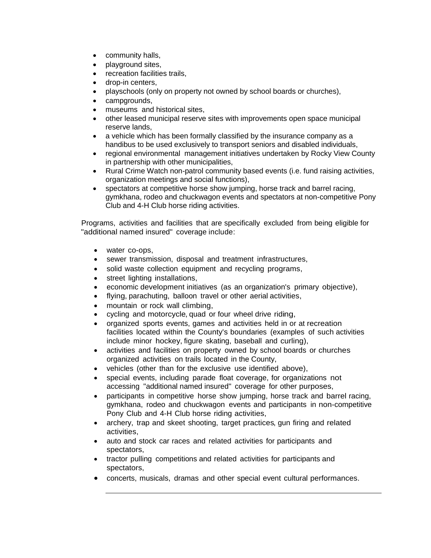- community halls,
- playground sites,
- recreation facilities trails,
- drop-in centers,
- playschools (only on property not owned by school boards or churches),
- campgrounds,
- museums and historical sites,
- other leased municipal reserve sites with improvements open space municipal reserve lands,
- a vehicle which has been formally classified by the insurance company as a handibus to be used exclusively to transport seniors and disabled individuals,
- regional environmental management initiatives undertaken by Rocky View County in partnership with other municipalities,
- Rural Crime Watch non-patrol community based events (i.e. fund raising activities, organization meetings and social functions),
- spectators at competitive horse show jumping, horse track and barrel racing, gymkhana, rodeo and chuckwagon events and spectators at non-competitive Pony Club and 4-H Club horse riding activities.

Programs, activities and facilities that are specifically excluded from being eligible for "additional named insured" coverage include:

- water co-ops,
- sewer transmission, disposal and treatment infrastructures,
- solid waste collection equipment and recycling programs,
- street lighting installations,
- economic development initiatives (as an organization's primary objective),
- flying, parachuting, balloon travel or other aerial activities,
- mountain or rock wall climbing,
- cycling and motorcycle, quad or four wheel drive riding,
- organized sports events, games and activities held in or at recreation facilities located within the County's boundaries (examples of such activities include minor hockey, figure skating, baseball and curling),
- activities and facilities on property owned by school boards or churches organized activities on trails located in the County,
- vehicles (other than for the exclusive use identified above),
- special events, including parade float coverage, for organizations not accessing "additional named insured" coverage for other purposes,
- participants in competitive horse show jumping, horse track and barrel racing, gymkhana, rodeo and chuckwagon events and participants in non-competitive Pony Club and 4-H Club horse riding activities,
- archery, trap and skeet shooting, target practices, gun firing and related activities,
- auto and stock car races and related activities for participants and spectators,
- tractor pulling competitions and related activities for participants and spectators,
- concerts, musicals, dramas and other special event cultural performances.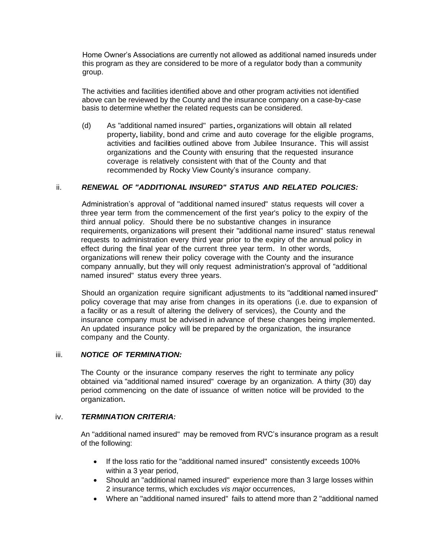Home Owner's Associations are currently not allowed as additional named insureds under this program as they are considered to be more of a regulator body than a community group.

The activities and facilities identified above and other program activities not identified above can be reviewed by the County and the insurance company on a case-by-case basis to determine whether the related requests can be considered.

(d) As "additional named insured" parties,organizations will obtain all related property, liability, bond and crime and auto coverage for the eligible programs, activities and facilities outlined above from Jubilee Insurance. This will assist organizations and the County with ensuring that the requested insurance coverage is relatively consistent with that of the County and that recommended by Rocky View County's insurance company.

# ii. *RENEWAL OF "ADDITIONAL INSURED" STATUS AND RELATED POLICIES:*

Administration's approval of "additional named insured" status requests will cover a three year term from the commencement of the first year's policy to the expiry of the third annual policy. Should there be no substantive changes in insurance requirements, organizations will present their "additional name insured" status renewal requests to administration every third year prior to the expiry of the annual policy in effect during the final year of the current three year term. In other words, organizations will renew their policy coverage with the County and the insurance company annually, but they will only request administration's approval of "additional named insured" status every three years.

Should an organization require significant adjustments to its "additional named insured" policy coverage that may arise from changes in its operations (i.e. due to expansion of a facility or as a result of altering the delivery of services), the County and the insurance company must be advised in advance of these changes being implemented. An updated insurance policy will be prepared by the organization, the insurance company and the County.

#### iii. *NOTICE OF TERMINATION:*

The County or the insurance company reserves the right to terminate any policy obtained via "additional named insured" coverage by an organization. A thirty (30) day period commencing on the date of issuance of written notice will be provided to the organization.

#### iv. *TERMINATION CRITERIA:*

An "additional named insured" may be removed from RVC's insurance program as a result of the following:

- If the loss ratio for the "additional named insured" consistently exceeds 100% within a 3 year period,
- Should an "additional named insured" experience more than 3 large losses within 2 insurance terms, which excludes *vis major* occurrences,
- Where an "additional named insured" fails to attend more than 2 "additional named